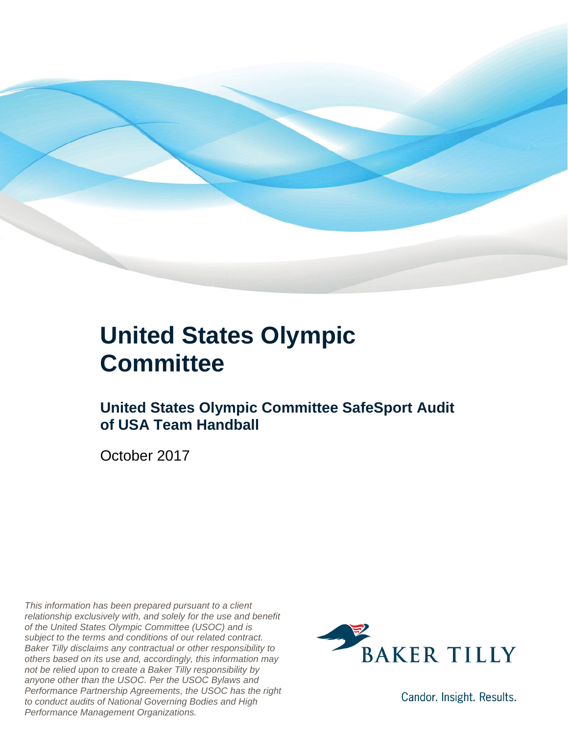

### **United States Olympic Committee**

### **United States Olympic Committee SafeSport Audit of USA Team Handball**

October 2017

*This information has been prepared pursuant to a client relationship exclusively with, and solely for the use and benefit of the United States Olympic Committee (USOC) and is subject to the terms and conditions of our related contract. Baker Tilly disclaims any contractual or other responsibility to others based on its use and, accordingly, this information may not be relied upon to create a Baker Tilly responsibility by anyone other than the USOC. Per the USOC Bylaws and Performance Partnership Agreements, the USOC has the right to conduct audits of National Governing Bodies and High Performance Management Organizations.*



Candor. Insight. Results.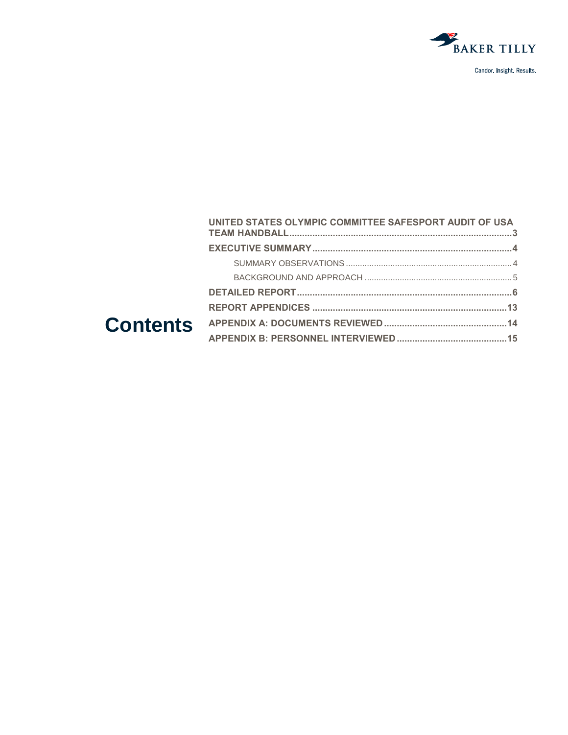

| UNITED STATES OLYMPIC COMMITTEE SAFESPORT AUDIT OF USA |  |
|--------------------------------------------------------|--|
|                                                        |  |
|                                                        |  |
|                                                        |  |
|                                                        |  |
|                                                        |  |
|                                                        |  |
|                                                        |  |
|                                                        |  |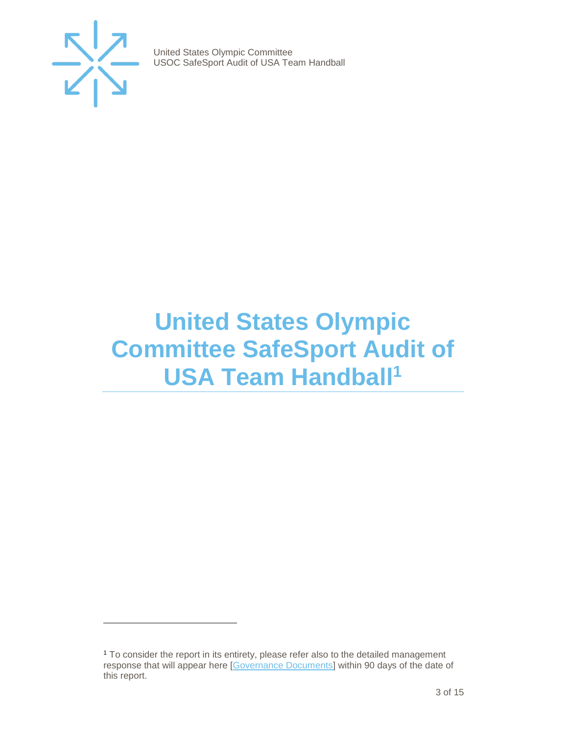

 $\overline{a}$ 

United States Olympic Committee USOC SafeSport Audit of USA Team Handball

## <span id="page-2-0"></span>**United States Olympic Committee SafeSport Audit of USA Team Handball<sup>1</sup>**

<sup>1</sup> To consider the report in its entirety, please refer also to the detailed management response that will appear here [\[Governance Documents\]](https://www.teamusa.org/Footer/Legal/Governance-Documents) within 90 days of the date of this report.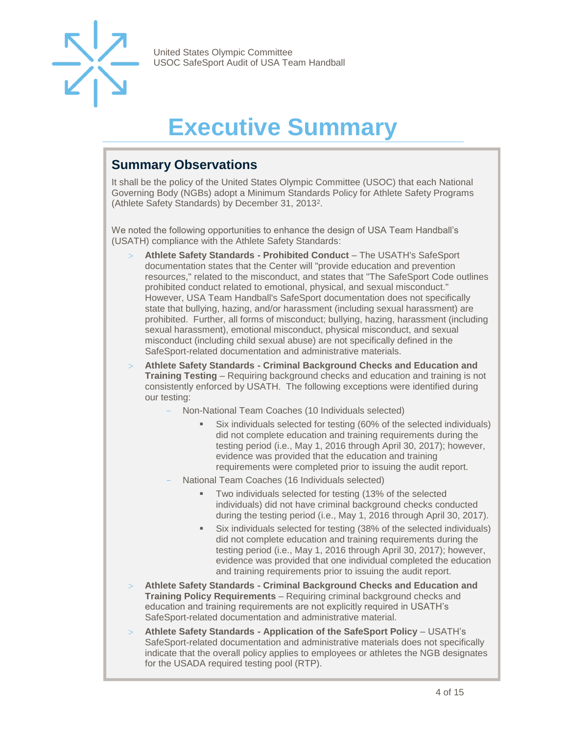

# **Executive Summary**

### <span id="page-3-1"></span><span id="page-3-0"></span>**Summary Observations**

It shall be the policy of the United States Olympic Committee (USOC) that each National Governing Body (NGBs) adopt a Minimum Standards Policy for Athlete Safety Programs (Athlete Safety Standards) by December 31, 2013<sup>2</sup> .

We noted the following opportunities to enhance the design of USA Team Handball's (USATH) compliance with the Athlete Safety Standards:

- **Athlete Safety Standards - Prohibited Conduct**  The USATH's SafeSport documentation states that the Center will "provide education and prevention resources," related to the misconduct, and states that "The SafeSport Code outlines prohibited conduct related to emotional, physical, and sexual misconduct." However, USA Team Handball's SafeSport documentation does not specifically state that bullying, hazing, and/or harassment (including sexual harassment) are prohibited. Further, all forms of misconduct; bullying, hazing, harassment (including sexual harassment), emotional misconduct, physical misconduct, and sexual misconduct (including child sexual abuse) are not specifically defined in the SafeSport-related documentation and administrative materials.
- **Athlete Safety Standards - Criminal Background Checks and Education and Training Testing** – Requiring background checks and education and training is not consistently enforced by USATH. The following exceptions were identified during our testing:
	- Non-National Team Coaches (10 Individuals selected)
		- Six individuals selected for testing (60% of the selected individuals) did not complete education and training requirements during the testing period (i.e., May 1, 2016 through April 30, 2017); however, evidence was provided that the education and training requirements were completed prior to issuing the audit report.
	- National Team Coaches (16 Individuals selected)
		- Two individuals selected for testing (13% of the selected individuals) did not have criminal background checks conducted during the testing period (i.e., May 1, 2016 through April 30, 2017).
		- Six individuals selected for testing (38% of the selected individuals) did not complete education and training requirements during the testing period (i.e., May 1, 2016 through April 30, 2017); however, evidence was provided that one individual completed the education and training requirements prior to issuing the audit report.
- **Athlete Safety Standards - Criminal Background Checks and Education and Training Policy Requirements** – Requiring criminal background checks and education and training requirements are not explicitly required in USATH's SafeSport-related documentation and administrative material.
- **Athlete Safety Standards - Application of the SafeSport Policy**  USATH's SafeSport-related documentation and administrative materials does not specifically indicate that the overall policy applies to employees or athletes the NGB designates for the USADA required testing pool (RTP).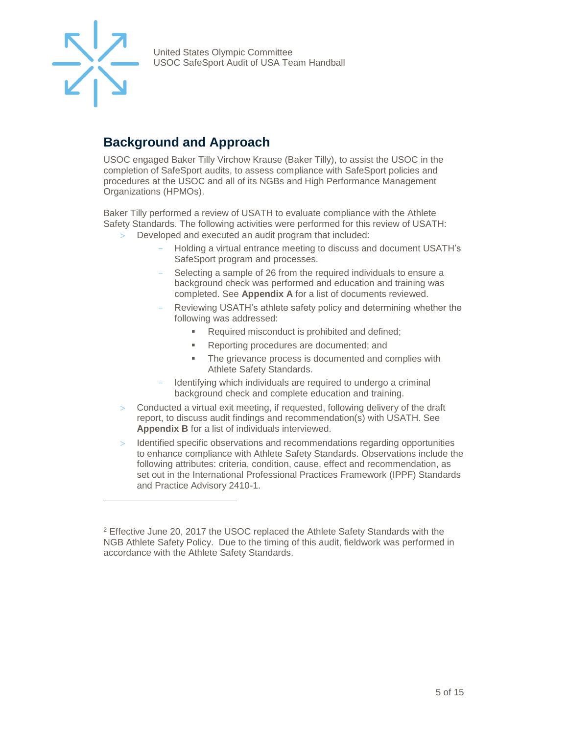

l

United States Olympic Committee USOC SafeSport Audit of USA Team Handball

### <span id="page-4-0"></span>**Background and Approach**

<span id="page-4-1"></span>USOC engaged Baker Tilly Virchow Krause (Baker Tilly), to assist the USOC in the completion of SafeSport audits, to assess compliance with SafeSport policies and procedures at the USOC and all of its NGBs and High Performance Management Organizations (HPMOs).

Baker Tilly performed a review of USATH to evaluate compliance with the Athlete Safety Standards. The following activities were performed for this review of USATH:

- Developed and executed an audit program that included:
	- Holding a virtual entrance meeting to discuss and document USATH's SafeSport program and processes.
	- Selecting a sample of 26 from the required individuals to ensure a background check was performed and education and training was completed. See **Appendix A** for a list of documents reviewed.
	- Reviewing USATH's athlete safety policy and determining whether the following was addressed:
		- Required misconduct is prohibited and defined;
		- Reporting procedures are documented; and
		- **The grievance process is documented and complies with** Athlete Safety Standards.
	- Identifying which individuals are required to undergo a criminal background check and complete education and training.
- $>$  Conducted a virtual exit meeting, if requested, following delivery of the draft report, to discuss audit findings and recommendation(s) with USATH. See **Appendix B** for a list of individuals interviewed.
- Identified specific observations and recommendations regarding opportunities to enhance compliance with Athlete Safety Standards. Observations include the following attributes: criteria, condition, cause, effect and recommendation, as set out in the International Professional Practices Framework (IPPF) Standards and Practice Advisory 2410-1.

<sup>2</sup> Effective June 20, 2017 the USOC replaced the Athlete Safety Standards with the NGB Athlete Safety Policy. Due to the timing of this audit, fieldwork was performed in accordance with the Athlete Safety Standards.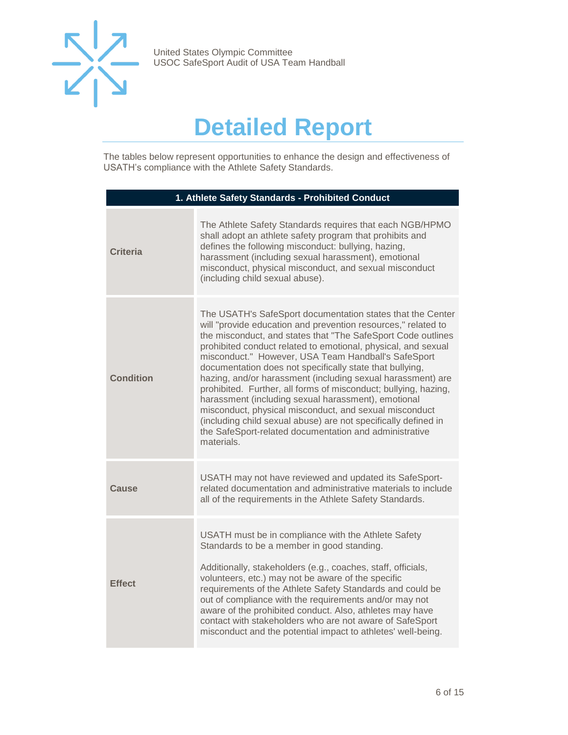

## **Detailed Report**

The tables below represent opportunities to enhance the design and effectiveness of USATH's compliance with the Athlete Safety Standards.

| 1. Athlete Safety Standards - Prohibited Conduct |                                                                                                                                                                                                                                                                                                                                                                                                                                                                                                                                                                                                                                                                                                                                                                              |
|--------------------------------------------------|------------------------------------------------------------------------------------------------------------------------------------------------------------------------------------------------------------------------------------------------------------------------------------------------------------------------------------------------------------------------------------------------------------------------------------------------------------------------------------------------------------------------------------------------------------------------------------------------------------------------------------------------------------------------------------------------------------------------------------------------------------------------------|
| <b>Criteria</b>                                  | The Athlete Safety Standards requires that each NGB/HPMO<br>shall adopt an athlete safety program that prohibits and<br>defines the following misconduct: bullying, hazing,<br>harassment (including sexual harassment), emotional<br>misconduct, physical misconduct, and sexual misconduct<br>(including child sexual abuse).                                                                                                                                                                                                                                                                                                                                                                                                                                              |
| <b>Condition</b>                                 | The USATH's SafeSport documentation states that the Center<br>will "provide education and prevention resources," related to<br>the misconduct, and states that "The SafeSport Code outlines<br>prohibited conduct related to emotional, physical, and sexual<br>misconduct." However, USA Team Handball's SafeSport<br>documentation does not specifically state that bullying,<br>hazing, and/or harassment (including sexual harassment) are<br>prohibited. Further, all forms of misconduct; bullying, hazing,<br>harassment (including sexual harassment), emotional<br>misconduct, physical misconduct, and sexual misconduct<br>(including child sexual abuse) are not specifically defined in<br>the SafeSport-related documentation and administrative<br>materials. |
| Cause                                            | USATH may not have reviewed and updated its SafeSport-<br>related documentation and administrative materials to include<br>all of the requirements in the Athlete Safety Standards.                                                                                                                                                                                                                                                                                                                                                                                                                                                                                                                                                                                          |
| <b>Effect</b>                                    | USATH must be in compliance with the Athlete Safety<br>Standards to be a member in good standing.<br>Additionally, stakeholders (e.g., coaches, staff, officials,<br>volunteers, etc.) may not be aware of the specific<br>requirements of the Athlete Safety Standards and could be<br>out of compliance with the requirements and/or may not<br>aware of the prohibited conduct. Also, athletes may have<br>contact with stakeholders who are not aware of SafeSport<br>misconduct and the potential impact to athletes' well-being.                                                                                                                                                                                                                                       |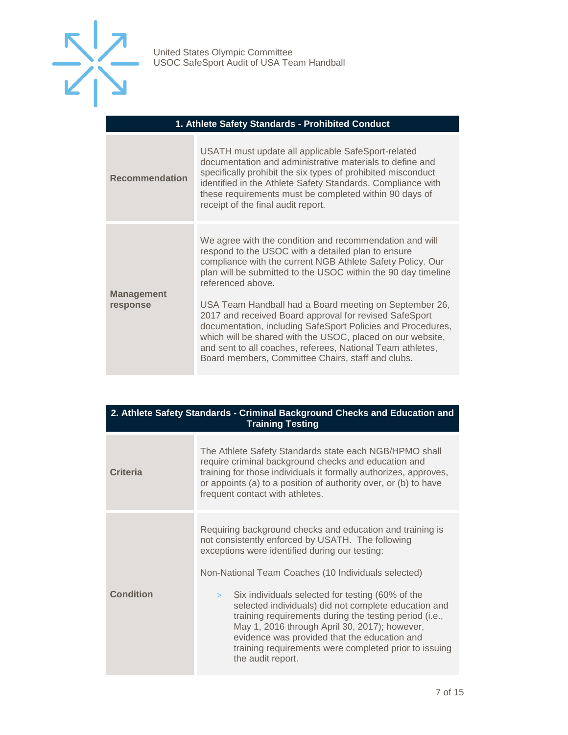

#### **1. Athlete Safety Standards - Prohibited Conduct**

| <b>Recommendation</b>         | USATH must update all applicable SafeSport-related<br>documentation and administrative materials to define and<br>specifically prohibit the six types of prohibited misconduct<br>identified in the Athlete Safety Standards. Compliance with<br>these requirements must be completed within 90 days of<br>receipt of the final audit report.                    |
|-------------------------------|------------------------------------------------------------------------------------------------------------------------------------------------------------------------------------------------------------------------------------------------------------------------------------------------------------------------------------------------------------------|
| <b>Management</b><br>response | We agree with the condition and recommendation and will<br>respond to the USOC with a detailed plan to ensure<br>compliance with the current NGB Athlete Safety Policy. Our<br>plan will be submitted to the USOC within the 90 day timeline<br>referenced above.                                                                                                |
|                               | USA Team Handball had a Board meeting on September 26,<br>2017 and received Board approval for revised SafeSport<br>documentation, including SafeSport Policies and Procedures,<br>which will be shared with the USOC, placed on our website,<br>and sent to all coaches, referees, National Team athletes,<br>Board members, Committee Chairs, staff and clubs. |

#### **2. Athlete Safety Standards - Criminal Background Checks and Education and Training Testing**

| <b>Criteria</b>  | The Athlete Safety Standards state each NGB/HPMO shall<br>require criminal background checks and education and<br>training for those individuals it formally authorizes, approves,<br>or appoints (a) to a position of authority over, or (b) to have<br>frequent contact with athletes.                                                                    |
|------------------|-------------------------------------------------------------------------------------------------------------------------------------------------------------------------------------------------------------------------------------------------------------------------------------------------------------------------------------------------------------|
|                  | Requiring background checks and education and training is<br>not consistently enforced by USATH. The following<br>exceptions were identified during our testing:<br>Non-National Team Coaches (10 Individuals selected)                                                                                                                                     |
| <b>Condition</b> | Six individuals selected for testing (60% of the<br>$\geq$<br>selected individuals) did not complete education and<br>training requirements during the testing period (i.e.,<br>May 1, 2016 through April 30, 2017); however,<br>evidence was provided that the education and<br>training requirements were completed prior to issuing<br>the audit report. |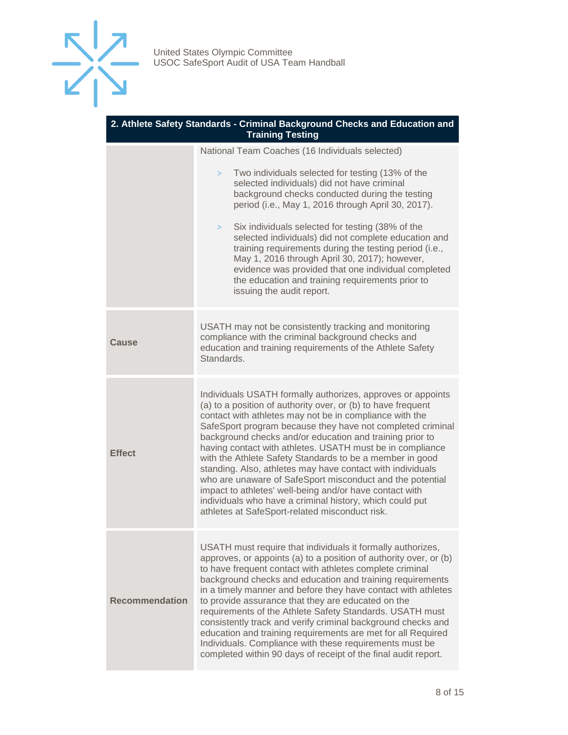

| 2. Athlete Safety Standards - Criminal Background Checks and Education and<br><b>Training Testing</b> |                                                                                                                                                                                                                                                                                                                                                                                                                                                                                                                                                                                                                                                                                                                                               |
|-------------------------------------------------------------------------------------------------------|-----------------------------------------------------------------------------------------------------------------------------------------------------------------------------------------------------------------------------------------------------------------------------------------------------------------------------------------------------------------------------------------------------------------------------------------------------------------------------------------------------------------------------------------------------------------------------------------------------------------------------------------------------------------------------------------------------------------------------------------------|
|                                                                                                       | National Team Coaches (16 Individuals selected)                                                                                                                                                                                                                                                                                                                                                                                                                                                                                                                                                                                                                                                                                               |
|                                                                                                       | Two individuals selected for testing (13% of the<br>$\geq$<br>selected individuals) did not have criminal<br>background checks conducted during the testing<br>period (i.e., May 1, 2016 through April 30, 2017).<br>Six individuals selected for testing (38% of the<br>><br>selected individuals) did not complete education and<br>training requirements during the testing period (i.e.,                                                                                                                                                                                                                                                                                                                                                  |
|                                                                                                       | May 1, 2016 through April 30, 2017); however,<br>evidence was provided that one individual completed<br>the education and training requirements prior to<br>issuing the audit report.                                                                                                                                                                                                                                                                                                                                                                                                                                                                                                                                                         |
| Cause                                                                                                 | USATH may not be consistently tracking and monitoring<br>compliance with the criminal background checks and<br>education and training requirements of the Athlete Safety<br>Standards.                                                                                                                                                                                                                                                                                                                                                                                                                                                                                                                                                        |
| <b>Effect</b>                                                                                         | Individuals USATH formally authorizes, approves or appoints<br>(a) to a position of authority over, or (b) to have frequent<br>contact with athletes may not be in compliance with the<br>SafeSport program because they have not completed criminal<br>background checks and/or education and training prior to<br>having contact with athletes. USATH must be in compliance<br>with the Athlete Safety Standards to be a member in good<br>standing. Also, athletes may have contact with individuals<br>who are unaware of SafeSport misconduct and the potential<br>impact to athletes' well-being and/or have contact with<br>individuals who have a criminal history, which could put<br>athletes at SafeSport-related misconduct risk. |
| <b>Recommendation</b>                                                                                 | USATH must require that individuals it formally authorizes,<br>approves, or appoints (a) to a position of authority over, or (b)<br>to have frequent contact with athletes complete criminal<br>background checks and education and training requirements<br>in a timely manner and before they have contact with athletes<br>to provide assurance that they are educated on the<br>requirements of the Athlete Safety Standards. USATH must<br>consistently track and verify criminal background checks and<br>education and training requirements are met for all Required<br>Individuals. Compliance with these requirements must be<br>completed within 90 days of receipt of the final audit report.                                     |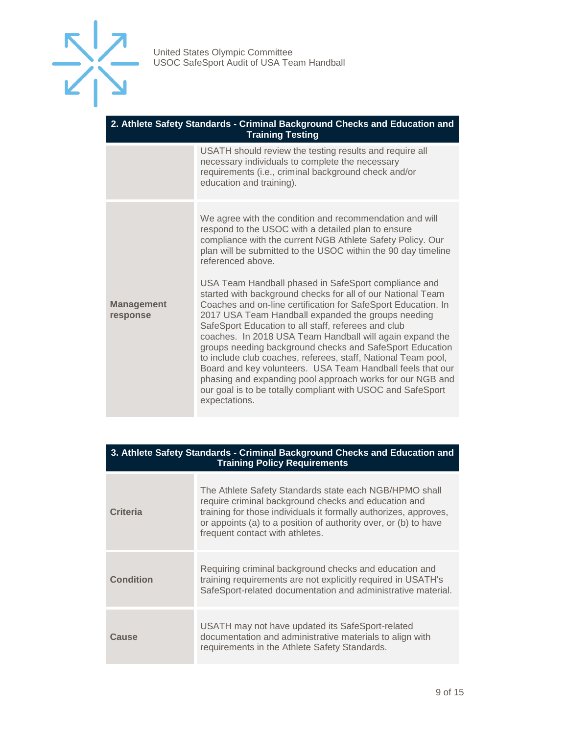

| 2. Athlete Safety Standards - Criminal Background Checks and Education and<br><b>Training Testing</b> |                                                                                                                                                                                                                                                                                                                                                                                                                                                                                                                                                                                                                                                                                                       |
|-------------------------------------------------------------------------------------------------------|-------------------------------------------------------------------------------------------------------------------------------------------------------------------------------------------------------------------------------------------------------------------------------------------------------------------------------------------------------------------------------------------------------------------------------------------------------------------------------------------------------------------------------------------------------------------------------------------------------------------------------------------------------------------------------------------------------|
|                                                                                                       | USATH should review the testing results and require all<br>necessary individuals to complete the necessary<br>requirements (i.e., criminal background check and/or<br>education and training).                                                                                                                                                                                                                                                                                                                                                                                                                                                                                                        |
|                                                                                                       | We agree with the condition and recommendation and will<br>respond to the USOC with a detailed plan to ensure<br>compliance with the current NGB Athlete Safety Policy. Our<br>plan will be submitted to the USOC within the 90 day timeline<br>referenced above.                                                                                                                                                                                                                                                                                                                                                                                                                                     |
| <b>Management</b><br>response                                                                         | USA Team Handball phased in SafeSport compliance and<br>started with background checks for all of our National Team<br>Coaches and on-line certification for SafeSport Education. In<br>2017 USA Team Handball expanded the groups needing<br>SafeSport Education to all staff, referees and club<br>coaches. In 2018 USA Team Handball will again expand the<br>groups needing background checks and SafeSport Education<br>to include club coaches, referees, staff, National Team pool,<br>Board and key volunteers. USA Team Handball feels that our<br>phasing and expanding pool approach works for our NGB and<br>our goal is to be totally compliant with USOC and SafeSport<br>expectations. |

| 3. Athlete Safety Standards - Criminal Background Checks and Education and<br><b>Training Policy Requirements</b> |                                                                                                                                                                                                                                                                                          |
|-------------------------------------------------------------------------------------------------------------------|------------------------------------------------------------------------------------------------------------------------------------------------------------------------------------------------------------------------------------------------------------------------------------------|
| <b>Criteria</b>                                                                                                   | The Athlete Safety Standards state each NGB/HPMO shall<br>require criminal background checks and education and<br>training for those individuals it formally authorizes, approves,<br>or appoints (a) to a position of authority over, or (b) to have<br>frequent contact with athletes. |
| <b>Condition</b>                                                                                                  | Requiring criminal background checks and education and<br>training requirements are not explicitly required in USATH's<br>SafeSport-related documentation and administrative material.                                                                                                   |
| Cause                                                                                                             | USATH may not have updated its SafeSport-related<br>documentation and administrative materials to align with<br>requirements in the Athlete Safety Standards.                                                                                                                            |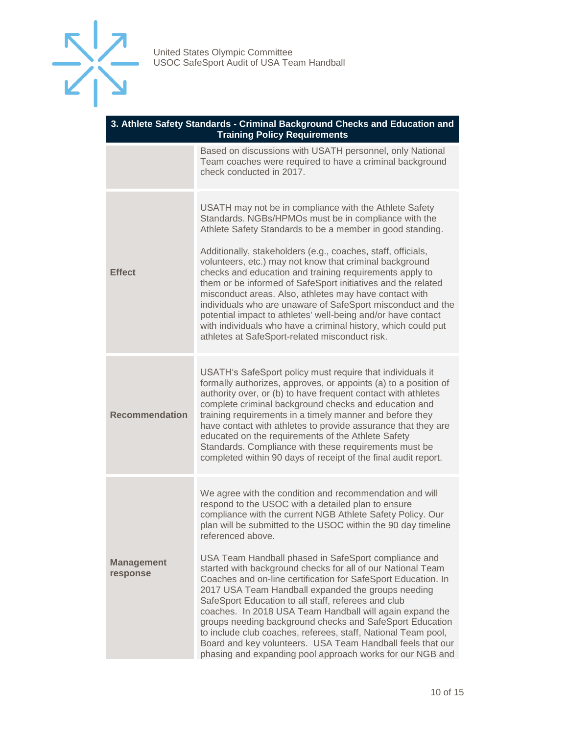

| 3. Athlete Safety Standards - Criminal Background Checks and Education and<br><b>Training Policy Requirements</b> |                                                                                                                                                                                                                                                                                                                                                                                                                                                                                                                                                                                                                                                                                                                                                                                                                                                                                            |
|-------------------------------------------------------------------------------------------------------------------|--------------------------------------------------------------------------------------------------------------------------------------------------------------------------------------------------------------------------------------------------------------------------------------------------------------------------------------------------------------------------------------------------------------------------------------------------------------------------------------------------------------------------------------------------------------------------------------------------------------------------------------------------------------------------------------------------------------------------------------------------------------------------------------------------------------------------------------------------------------------------------------------|
|                                                                                                                   | Based on discussions with USATH personnel, only National<br>Team coaches were required to have a criminal background<br>check conducted in 2017.                                                                                                                                                                                                                                                                                                                                                                                                                                                                                                                                                                                                                                                                                                                                           |
| <b>Effect</b>                                                                                                     | USATH may not be in compliance with the Athlete Safety<br>Standards. NGBs/HPMOs must be in compliance with the<br>Athlete Safety Standards to be a member in good standing.<br>Additionally, stakeholders (e.g., coaches, staff, officials,<br>volunteers, etc.) may not know that criminal background<br>checks and education and training requirements apply to<br>them or be informed of SafeSport initiatives and the related<br>misconduct areas. Also, athletes may have contact with<br>individuals who are unaware of SafeSport misconduct and the<br>potential impact to athletes' well-being and/or have contact<br>with individuals who have a criminal history, which could put<br>athletes at SafeSport-related misconduct risk.                                                                                                                                              |
| <b>Recommendation</b>                                                                                             | USATH's SafeSport policy must require that individuals it<br>formally authorizes, approves, or appoints (a) to a position of<br>authority over, or (b) to have frequent contact with athletes<br>complete criminal background checks and education and<br>training requirements in a timely manner and before they<br>have contact with athletes to provide assurance that they are<br>educated on the requirements of the Athlete Safety<br>Standards. Compliance with these requirements must be<br>completed within 90 days of receipt of the final audit report.                                                                                                                                                                                                                                                                                                                       |
| <b>Management</b><br>response                                                                                     | We agree with the condition and recommendation and will<br>respond to the USOC with a detailed plan to ensure<br>compliance with the current NGB Athlete Safety Policy. Our<br>plan will be submitted to the USOC within the 90 day timeline<br>referenced above.<br>USA Team Handball phased in SafeSport compliance and<br>started with background checks for all of our National Team<br>Coaches and on-line certification for SafeSport Education. In<br>2017 USA Team Handball expanded the groups needing<br>SafeSport Education to all staff, referees and club<br>coaches. In 2018 USA Team Handball will again expand the<br>groups needing background checks and SafeSport Education<br>to include club coaches, referees, staff, National Team pool,<br>Board and key volunteers. USA Team Handball feels that our<br>phasing and expanding pool approach works for our NGB and |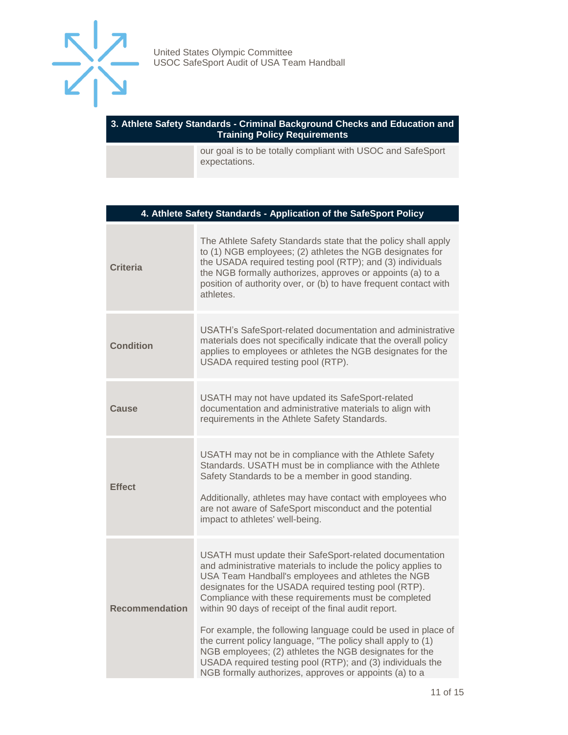

#### **3. Athlete Safety Standards - Criminal Background Checks and Education and Training Policy Requirements**

our goal is to be totally compliant with USOC and SafeSport expectations.

| 4. Athlete Safety Standards - Application of the SafeSport Policy |                                                                                                                                                                                                                                                                                                                                                                                                                                                                                                                                                                                                                                                                           |
|-------------------------------------------------------------------|---------------------------------------------------------------------------------------------------------------------------------------------------------------------------------------------------------------------------------------------------------------------------------------------------------------------------------------------------------------------------------------------------------------------------------------------------------------------------------------------------------------------------------------------------------------------------------------------------------------------------------------------------------------------------|
| <b>Criteria</b>                                                   | The Athlete Safety Standards state that the policy shall apply<br>to (1) NGB employees; (2) athletes the NGB designates for<br>the USADA required testing pool (RTP); and (3) individuals<br>the NGB formally authorizes, approves or appoints (a) to a<br>position of authority over, or (b) to have frequent contact with<br>athletes.                                                                                                                                                                                                                                                                                                                                  |
| <b>Condition</b>                                                  | USATH's SafeSport-related documentation and administrative<br>materials does not specifically indicate that the overall policy<br>applies to employees or athletes the NGB designates for the<br>USADA required testing pool (RTP).                                                                                                                                                                                                                                                                                                                                                                                                                                       |
| Cause                                                             | USATH may not have updated its SafeSport-related<br>documentation and administrative materials to align with<br>requirements in the Athlete Safety Standards.                                                                                                                                                                                                                                                                                                                                                                                                                                                                                                             |
| <b>Effect</b>                                                     | USATH may not be in compliance with the Athlete Safety<br>Standards. USATH must be in compliance with the Athlete<br>Safety Standards to be a member in good standing.<br>Additionally, athletes may have contact with employees who<br>are not aware of SafeSport misconduct and the potential<br>impact to athletes' well-being.                                                                                                                                                                                                                                                                                                                                        |
| <b>Recommendation</b>                                             | USATH must update their SafeSport-related documentation<br>and administrative materials to include the policy applies to<br>USA Team Handball's employees and athletes the NGB<br>designates for the USADA required testing pool (RTP).<br>Compliance with these requirements must be completed<br>within 90 days of receipt of the final audit report.<br>For example, the following language could be used in place of<br>the current policy language, "The policy shall apply to (1)<br>NGB employees; (2) athletes the NGB designates for the<br>USADA required testing pool (RTP); and (3) individuals the<br>NGB formally authorizes, approves or appoints (a) to a |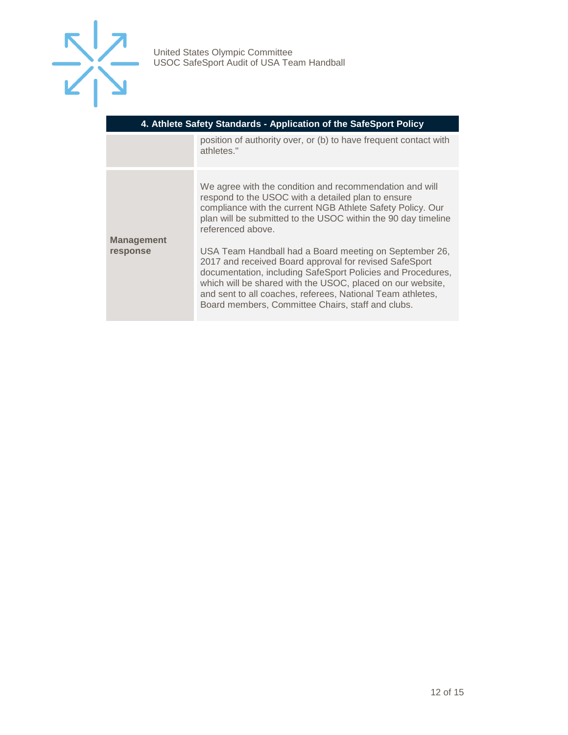

| 4. Athlete Safety Standards - Application of the SafeSport Policy |                                                                                                                                                                                                                                                                                                                                                                  |
|-------------------------------------------------------------------|------------------------------------------------------------------------------------------------------------------------------------------------------------------------------------------------------------------------------------------------------------------------------------------------------------------------------------------------------------------|
|                                                                   | position of authority over, or (b) to have frequent contact with<br>athletes."                                                                                                                                                                                                                                                                                   |
| <b>Management</b>                                                 | We agree with the condition and recommendation and will<br>respond to the USOC with a detailed plan to ensure<br>compliance with the current NGB Athlete Safety Policy. Our<br>plan will be submitted to the USOC within the 90 day timeline<br>referenced above.                                                                                                |
| response                                                          | USA Team Handball had a Board meeting on September 26,<br>2017 and received Board approval for revised SafeSport<br>documentation, including SafeSport Policies and Procedures,<br>which will be shared with the USOC, placed on our website,<br>and sent to all coaches, referees, National Team athletes,<br>Board members, Committee Chairs, staff and clubs. |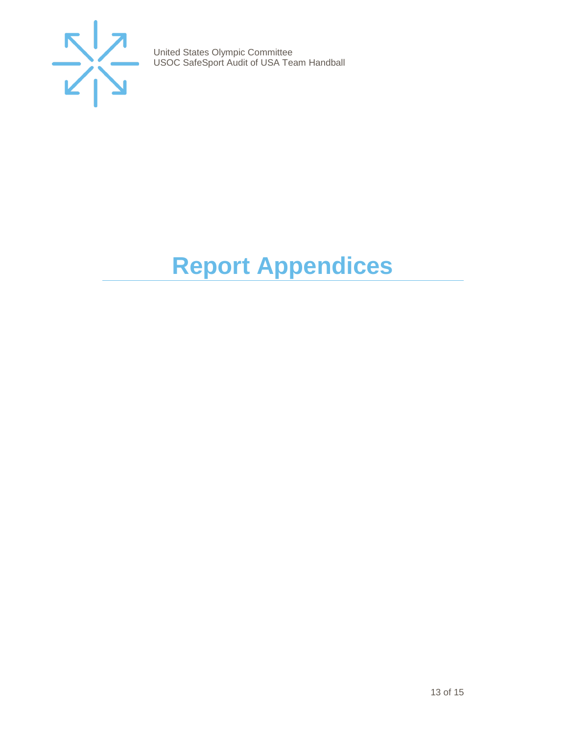

# <span id="page-12-0"></span>**Report Appendices**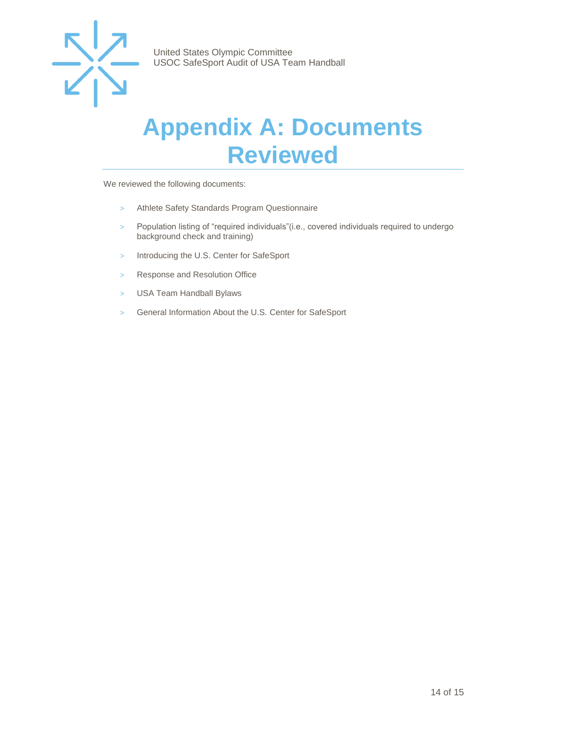

## <span id="page-13-0"></span>**Appendix A: Documents Reviewed**

We reviewed the following documents:

- > Athlete Safety Standards Program Questionnaire
- > Population listing of "required individuals"(i.e., covered individuals required to undergo background check and training)
- > Introducing the U.S. Center for SafeSport
- > Response and Resolution Office
- > USA Team Handball Bylaws
- > General Information About the U.S. Center for SafeSport